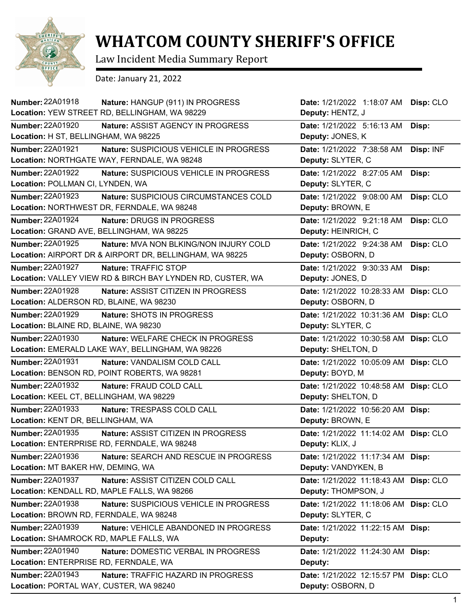

## **WHATCOM COUNTY SHERIFF'S OFFICE**

Law Incident Media Summary Report

Date: January 21, 2022

| Number: 22A01918                          | Nature: HANGUP (911) IN PROGRESS                           | Date: 1/21/2022 1:18:07 AM            | Disp: CLO |
|-------------------------------------------|------------------------------------------------------------|---------------------------------------|-----------|
|                                           | Location: YEW STREET RD, BELLINGHAM, WA 98229              | Deputy: HENTZ, J                      |           |
| <b>Number: 22A01920</b>                   | Nature: ASSIST AGENCY IN PROGRESS                          | Date: 1/21/2022 5:16:13 AM            | Disp:     |
| Location: H ST, BELLINGHAM, WA 98225      |                                                            | Deputy: JONES, K                      |           |
| Number: 22A01921                          | Nature: SUSPICIOUS VEHICLE IN PROGRESS                     | Date: 1/21/2022 7:38:58 AM            | Disp: INF |
|                                           | Location: NORTHGATE WAY, FERNDALE, WA 98248                | Deputy: SLYTER, C                     |           |
| <b>Number: 22A01922</b>                   | Nature: SUSPICIOUS VEHICLE IN PROGRESS                     | Date: 1/21/2022 8:27:05 AM            | Disp:     |
| Location: POLLMAN CI, LYNDEN, WA          |                                                            | Deputy: SLYTER, C                     |           |
| Number: 22A01923                          | Nature: SUSPICIOUS CIRCUMSTANCES COLD                      | Date: 1/21/2022 9:08:00 AM            | Disp: CLO |
|                                           | Location: NORTHWEST DR, FERNDALE, WA 98248                 | Deputy: BROWN, E                      |           |
| Number: 22A01924                          | Nature: DRUGS IN PROGRESS                                  | Date: 1/21/2022 9:21:18 AM            | Disp: CLO |
| Location: GRAND AVE, BELLINGHAM, WA 98225 |                                                            | Deputy: HEINRICH, C                   |           |
| Number: 22A01925                          | Nature: MVA NON BLKING/NON INJURY COLD                     | Date: 1/21/2022 9:24:38 AM            | Disp: CLO |
|                                           | Location: AIRPORT DR & AIRPORT DR, BELLINGHAM, WA 98225    | Deputy: OSBORN, D                     |           |
| Number: 22A01927                          | Nature: TRAFFIC STOP                                       | Date: 1/21/2022 9:30:33 AM            | Disp:     |
|                                           | Location: VALLEY VIEW RD & BIRCH BAY LYNDEN RD, CUSTER, WA | Deputy: JONES, D                      |           |
| Number: 22A01928                          | <b>Nature: ASSIST CITIZEN IN PROGRESS</b>                  | Date: 1/21/2022 10:28:33 AM Disp: CLO |           |
| Location: ALDERSON RD, BLAINE, WA 98230   |                                                            | Deputy: OSBORN, D                     |           |
| Number: 22A01929                          | Nature: SHOTS IN PROGRESS                                  | Date: 1/21/2022 10:31:36 AM Disp: CLO |           |
| Location: BLAINE RD, BLAINE, WA 98230     |                                                            | Deputy: SLYTER, C                     |           |
| Number: 22A01930                          | <b>Nature: WELFARE CHECK IN PROGRESS</b>                   | Date: 1/21/2022 10:30:58 AM Disp: CLO |           |
|                                           | Location: EMERALD LAKE WAY, BELLINGHAM, WA 98226           | Deputy: SHELTON, D                    |           |
| <b>Number: 22A01931</b>                   | Nature: VANDALISM COLD CALL                                | Date: 1/21/2022 10:05:09 AM Disp: CLO |           |
|                                           | Location: BENSON RD, POINT ROBERTS, WA 98281               | Deputy: BOYD, M                       |           |
| Number: 22A01932                          | Nature: FRAUD COLD CALL                                    | Date: 1/21/2022 10:48:58 AM Disp: CLO |           |
| Location: KEEL CT, BELLINGHAM, WA 98229   |                                                            | Deputy: SHELTON, D                    |           |
| <b>Number: 22A01933</b>                   | Nature: TRESPASS COLD CALL                                 | Date: 1/21/2022 10:56:20 AM Disp:     |           |
| Location: KENT DR, BELLINGHAM, WA         |                                                            | Deputy: BROWN, E                      |           |
| Number: 22A01935                          | Nature: ASSIST CITIZEN IN PROGRESS                         | Date: 1/21/2022 11:14:02 AM Disp: CLO |           |
|                                           | Location: ENTERPRISE RD, FERNDALE, WA 98248                | Deputy: KLIX, J                       |           |
| Number: 22A01936                          | Nature: SEARCH AND RESCUE IN PROGRESS                      | Date: 1/21/2022 11:17:34 AM Disp:     |           |
| Location: MT BAKER HW, DEMING, WA         |                                                            | Deputy: VANDYKEN, B                   |           |
| Number: 22A01937                          | Nature: ASSIST CITIZEN COLD CALL                           | Date: 1/21/2022 11:18:43 AM Disp: CLO |           |
|                                           | Location: KENDALL RD, MAPLE FALLS, WA 98266                | Deputy: THOMPSON, J                   |           |
| Number: 22A01938                          | Nature: SUSPICIOUS VEHICLE IN PROGRESS                     | Date: 1/21/2022 11:18:06 AM Disp: CLO |           |
| Location: BROWN RD, FERNDALE, WA 98248    |                                                            | Deputy: SLYTER, C                     |           |
| Number: 22A01939                          | Nature: VEHICLE ABANDONED IN PROGRESS                      | Date: 1/21/2022 11:22:15 AM Disp:     |           |
| Location: SHAMROCK RD, MAPLE FALLS, WA    |                                                            | Deputy:                               |           |
| Number: 22A01940                          | Nature: DOMESTIC VERBAL IN PROGRESS                        | Date: 1/21/2022 11:24:30 AM Disp:     |           |
| Location: ENTERPRISE RD, FERNDALE, WA     |                                                            | Deputy:                               |           |
| <b>Number: 22A01943</b>                   | <b>Nature: TRAFFIC HAZARD IN PROGRESS</b>                  | Date: 1/21/2022 12:15:57 PM Disp: CLO |           |
| Location: PORTAL WAY, CUSTER, WA 98240    |                                                            | Deputy: OSBORN, D                     |           |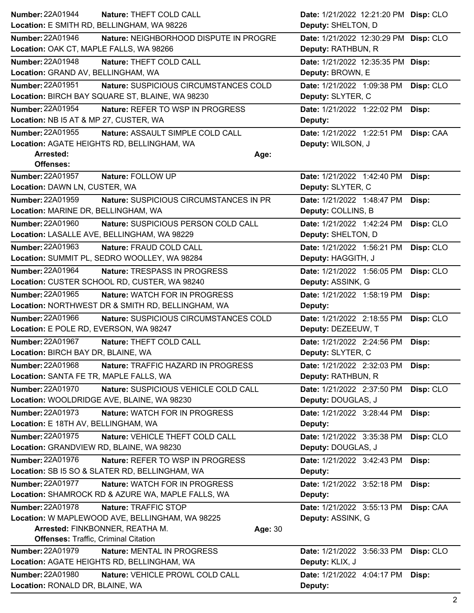| <b>Number: 22A01944</b>                                           | Nature: THEFT COLD CALL                                                                                               | Date: 1/21/2022 12:21:20 PM Disp: CLO                       |           |
|-------------------------------------------------------------------|-----------------------------------------------------------------------------------------------------------------------|-------------------------------------------------------------|-----------|
|                                                                   | Location: E SMITH RD, BELLINGHAM, WA 98226                                                                            | Deputy: SHELTON, D                                          |           |
| Number: 22A01946<br>Location: OAK CT, MAPLE FALLS, WA 98266       | Nature: NEIGHBORHOOD DISPUTE IN PROGRE                                                                                | Date: 1/21/2022 12:30:29 PM Disp: CLO<br>Deputy: RATHBUN, R |           |
| Number: 22A01948<br>Location: GRAND AV, BELLINGHAM, WA            | Nature: THEFT COLD CALL                                                                                               | Date: 1/21/2022 12:35:35 PM Disp:<br>Deputy: BROWN, E       |           |
| <b>Number: 22A01951</b>                                           | Nature: SUSPICIOUS CIRCUMSTANCES COLD<br>Location: BIRCH BAY SQUARE ST, BLAINE, WA 98230                              | Date: 1/21/2022 1:09:38 PM<br>Deputy: SLYTER, C             | Disp: CLO |
| Number: 22A01954<br>Location: NB I5 AT & MP 27, CUSTER, WA        | Nature: REFER TO WSP IN PROGRESS                                                                                      | Date: 1/21/2022 1:22:02 PM<br>Deputy:                       | Disp:     |
| Number: 22A01955                                                  | Nature: ASSAULT SIMPLE COLD CALL<br>Location: AGATE HEIGHTS RD, BELLINGHAM, WA                                        | Date: 1/21/2022 1:22:51 PM<br>Deputy: WILSON, J             | Disp: CAA |
| Arrested:<br><b>Offenses:</b>                                     | Age:                                                                                                                  |                                                             |           |
| <b>Number: 22A01957</b><br>Location: DAWN LN, CUSTER, WA          | Nature: FOLLOW UP                                                                                                     | Date: 1/21/2022 1:42:40 PM<br>Deputy: SLYTER, C             | Disp:     |
| <b>Number: 22A01959</b>                                           | Nature: SUSPICIOUS CIRCUMSTANCES IN PR                                                                                | Date: 1/21/2022 1:48:47 PM                                  | Disp:     |
| Location: MARINE DR, BELLINGHAM, WA                               |                                                                                                                       | Deputy: COLLINS, B                                          |           |
| Number: 22A01960                                                  | Nature: SUSPICIOUS PERSON COLD CALL<br>Location: LASALLE AVE, BELLINGHAM, WA 98229                                    | Date: 1/21/2022 1:42:24 PM<br>Deputy: SHELTON, D            | Disp: CLO |
| Number: 22A01963                                                  | Nature: FRAUD COLD CALL                                                                                               | Date: 1/21/2022 1:56:21 PM                                  | Disp: CLO |
|                                                                   | Location: SUMMIT PL, SEDRO WOOLLEY, WA 98284                                                                          | Deputy: HAGGITH, J                                          |           |
| Number: 22A01964                                                  | Nature: TRESPASS IN PROGRESS                                                                                          | Date: 1/21/2022 1:56:05 PM                                  | Disp: CLO |
|                                                                   | Location: CUSTER SCHOOL RD, CUSTER, WA 98240                                                                          | Deputy: ASSINK, G                                           |           |
| Number: 22A01965                                                  | <b>Nature: WATCH FOR IN PROGRESS</b><br>Location: NORTHWEST DR & SMITH RD, BELLINGHAM, WA                             | Date: 1/21/2022 1:58:19 PM<br>Deputy:                       | Disp:     |
| Number: 22A01966                                                  | Nature: SUSPICIOUS CIRCUMSTANCES COLD                                                                                 | Date: 1/21/2022 2:18:55 PM                                  | Disp: CLO |
| Location: E POLE RD, EVERSON, WA 98247                            |                                                                                                                       | Deputy: DEZEEUW, T                                          |           |
|                                                                   |                                                                                                                       | Date: 1/21/2022 2:24:56 PM                                  | Disp:     |
| <b>Number: 22A01967</b>                                           | Nature: THEFT COLD CALL                                                                                               |                                                             |           |
| Location: BIRCH BAY DR, BLAINE, WA                                |                                                                                                                       | Deputy: SLYTER, C                                           |           |
| Number: 22A01968                                                  | Nature: TRAFFIC HAZARD IN PROGRESS                                                                                    | Date: 1/21/2022 2:32:03 PM                                  | Disp:     |
| Location: SANTA FE TR, MAPLE FALLS, WA<br><b>Number: 22A01970</b> |                                                                                                                       | Deputy: RATHBUN, R                                          |           |
|                                                                   | Nature: SUSPICIOUS VEHICLE COLD CALL<br>Location: WOOLDRIDGE AVE, BLAINE, WA 98230                                    | Date: 1/21/2022 2:37:50 PM<br>Deputy: DOUGLAS, J            | Disp: CLO |
| <b>Number: 22A01973</b><br>Location: E 18TH AV, BELLINGHAM, WA    | Nature: WATCH FOR IN PROGRESS                                                                                         | Date: 1/21/2022 3:28:44 PM<br>Deputy:                       | Disp:     |
| Number: 22A01975<br>Location: GRANDVIEW RD, BLAINE, WA 98230      | Nature: VEHICLE THEFT COLD CALL                                                                                       | Date: 1/21/2022 3:35:38 PM<br>Deputy: DOUGLAS, J            | Disp: CLO |
| Number: 22A01976                                                  | <b>Nature: REFER TO WSP IN PROGRESS</b><br>Location: SB I5 SO & SLATER RD, BELLINGHAM, WA                             | Date: 1/21/2022 3:42:43 PM<br>Deputy:                       | Disp:     |
| <b>Number: 22A01977</b>                                           | Nature: WATCH FOR IN PROGRESS<br>Location: SHAMROCK RD & AZURE WA, MAPLE FALLS, WA                                    | Date: 1/21/2022 3:52:18 PM<br>Deputy:                       | Disp:     |
| Number: 22A01978<br><b>Offenses: Traffic, Criminal Citation</b>   | Nature: TRAFFIC STOP<br>Location: W MAPLEWOOD AVE, BELLINGHAM, WA 98225<br>Arrested: FINKBONNER, REATHA M.<br>Age: 30 | Date: 1/21/2022 3:55:13 PM<br>Deputy: ASSINK, G             | Disp: CAA |
| <b>Number: 22A01979</b>                                           | Nature: MENTAL IN PROGRESS                                                                                            | Date: 1/21/2022 3:56:33 PM                                  | Disp: CLO |
| Number: 22A01980                                                  | Location: AGATE HEIGHTS RD, BELLINGHAM, WA<br>Nature: VEHICLE PROWL COLD CALL                                         | Deputy: KLIX, J<br>Date: 1/21/2022 4:04:17 PM               | Disp:     |